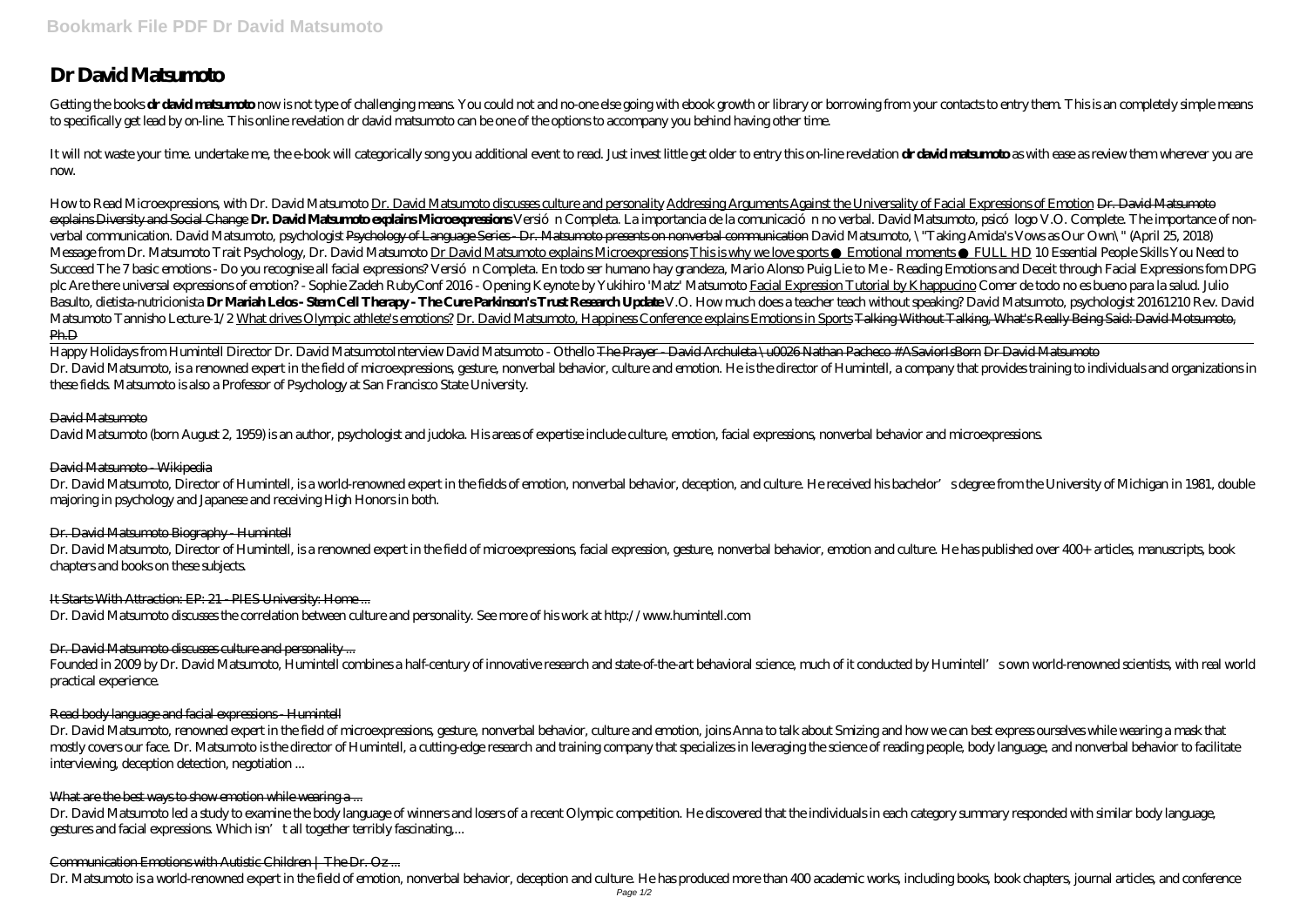# **Dr David Matsumoto**

Getting the books drawid maternation ow is not type of challenging means You could not and no one else going with ebook growth or library or borrowing from your contacts to entry them This is an completely simple means to specifically get lead by on-line. This online revelation dr david matsumoto can be one of the options to accompany you behind having other time.

It will not waste your time, undertake me, the e-book will categorically song you additional event to read. Just invest little get older to entry this on-line revelation **drawid matsum to** as with ease as review them where now.

How to Read Microexpressions, with Dr. David Matsumoto discusses culture and personality Addressing Arguments Against the Universality of Facial Expressions of Emotion <del>Dr. David Matsumoto</del> explains Diversity and Social Change **Dr. David Mats undo explains Microsynesions** Versió n Completa. La importancia de la comunicació n no verbal. David Mats unoto, psicó logo V.O. Complete. The importance of non*verbal communication. David Matsumoto, psychologist* Psychology of Language Series - Dr. Matsumoto presents on nonverbal communication *David Matsumoto, \"Taking Amida's Vows as Our Own\" (April 25, 2018)* Message from Dr. Matsumoto *Trait Psychology, Dr. David Matsumoto explains Microexpressions This is why we love sports Emotional moments FULL HD 10 Essential People Skills You Need to* Succeed The 7 basic emotions - Do you recognise all facial expressions? Versió n Completa. En todo ser humano hay grandeza, Mario Alonso Puig Lie to Me - Reading Emotions and Deceit through Facial Expressions forn DPG plc Are there universal expressions of emotion?- Sophie Zadeh RubyConf 2016- Opening Keynote by Yukihiro 'Matz' Matsumoto Facial Expression Tutorial by K happucino Comer de todo no es bueno para la salud Julio Basulto, dietista nutricionista **Dr Match Lelos- StemCell Theray- The Cure Parkinson's Trust Research Update** V.O. How much does a teacher teach without speaking? David Matsumoto, psychologist 20161210 Rev. David *Matsumoto Tannisho Lecture-1/2* What drives Olympic athlete's emotions? Dr. David Matsumoto, Happiness Conference explains Emotions in Sports Talking Without Talking, What's Really Being Said: David Motsumoto, Ph.D

Happy Holidays from Humintell Director Dr. David Matsumoto*Interview David Matsumoto - Othello* T<del>he Prayer - David Archuleta \u0026 Nathan Pacheco #ASaviorIsBorn Dr David Matsumoto</del> Dr. David Matsumoto, is a renowned expert in the field of microexpressions, gesture, nonverbal behavior, culture and emotion. He is the director of Humintell, a company that provides training to individuals and organizatio these fields. Matsumoto is also a Professor of Psychology at San Francisco State University.

# David Matsumoto

David Matsumoto (born August 2, 1959) is an author, psychologist and judoka. His areas of expertise include culture, emotion, facial expressions, nonverbal behavior and microexpressions.

# David Matsumoto - Wikipedia

Dr. David Matsumoto, Director of Humintell, is a world-renowned expert in the fields of emotion, nonverbal behavior, deception, and culture. He received his bachelor's degree from the University of Michigan in 1981, double majoring in psychology and Japanese and receiving High Honors in both.

# Dr. David Matsumoto Biography - Humintell

Dr. David Matsumoto, Director of Humintell, is a renowned expert in the field of microexpressions, facial expression, gesture, nonverbal behavior, emotion and culture. He has published over 400+ articles, manuscripts, book chapters and books on these subjects.

# It Starts With Attraction: EP: 21 - PIES University: Home ...

Dr. David Matsumoto discusses the correlation between culture and personality. See more of his work at http://www.humintell.com

# Dr. David Matsumoto discusses culture and personality ...

Founded in 2009 by Dr. David Matsumoto, Humintell combines a half-century of innovative research and state-of-the-art behavioral science, much of it conducted by Humintell's own world-renowned scientists, with real world practical experience.

# Read body language and facial expressions - Humintell

Dr. David Matsumoto, renowned expert in the field of microexpressions, gesture, nonverbal behavior, culture and emotion, joins Anna to talk about Smizing and how we can best express ourselves while wearing a mask that mostly covers our face. Dr. Matsumoto is the director of Humintell, a cutting-edge research and training company that specializes in leveraging the science of reading people, body language, and nonverbal behavior to facili interviewing, deception detection, negotiation ...

#### What are the best ways to show emotion while wearing a...

Dr. David Matsumoto led a study to examine the body language of winners and losers of a recent Olympic competition. He discovered that the individuals in each category summary responded with similar body language, gestures and facial expressions. Which isn't all together terribly fascinating,...

# Communication Emotions with Autistic Children | The Dr. Oz ...

Dr. Matsumoto is a world-renowned expert in the field of emotion, nonverbal behavior, deception and culture. He has produced more than 400 academic works, including books, book chapters, journal articles, and conference